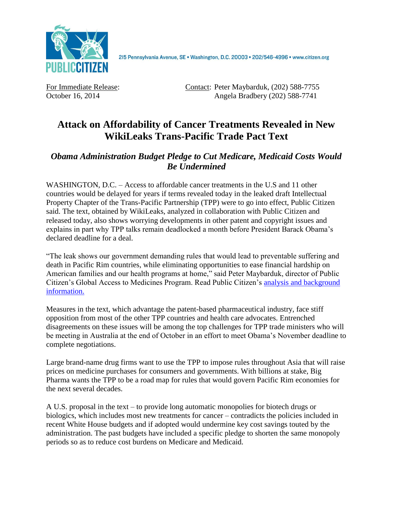

For Immediate Release: Contact: Peter Maybarduk, (202) 588-7755 October 16, 2014 Angela Bradbery (202) 588-7741

## **Attack on Affordability of Cancer Treatments Revealed in New WikiLeaks Trans-Pacific Trade Pact Text**

## *Obama Administration Budget Pledge to Cut Medicare, Medicaid Costs Would Be Undermined*

WASHINGTON, D.C. – Access to affordable cancer treatments in the U.S and 11 other countries would be delayed for years if terms revealed today in the leaked draft Intellectual Property Chapter of the Trans-Pacific Partnership (TPP) were to go into effect, Public Citizen said. The text, obtained by WikiLeaks, analyzed in collaboration with Public Citizen and released today, also shows worrying developments in other patent and copyright issues and explains in part why TPP talks remain deadlocked a month before President Barack Obama's declared deadline for a deal.

"The leak shows our government demanding rules that would lead to preventable suffering and death in Pacific Rim countries, while eliminating opportunities to ease financial hardship on American families and our health programs at home," said Peter Maybarduk, director of Public Citizen's Global Access to Medicines Program. Read Public Citizen's [analysis and background](http://www.citizen.org/tpp-ip-wikileaks)  [information.](http://www.citizen.org/tpp-ip-wikileaks)

Measures in the text, which advantage the patent-based pharmaceutical industry, face stiff opposition from most of the other TPP countries and health care advocates. Entrenched disagreements on these issues will be among the top challenges for TPP trade ministers who will be meeting in Australia at the end of October in an effort to meet Obama's November deadline to complete negotiations.

Large brand-name drug firms want to use the TPP to impose rules throughout Asia that will raise prices on medicine purchases for consumers and governments. With billions at stake, Big Pharma wants the TPP to be a road map for rules that would govern Pacific Rim economies for the next several decades.

A U.S. proposal in the text – to provide long automatic monopolies for biotech drugs or biologics, which includes most new treatments for cancer – contradicts the policies included in recent White House budgets and if adopted would undermine key cost savings touted by the administration. The past budgets have included a specific pledge to shorten the same monopoly periods so as to reduce cost burdens on Medicare and Medicaid.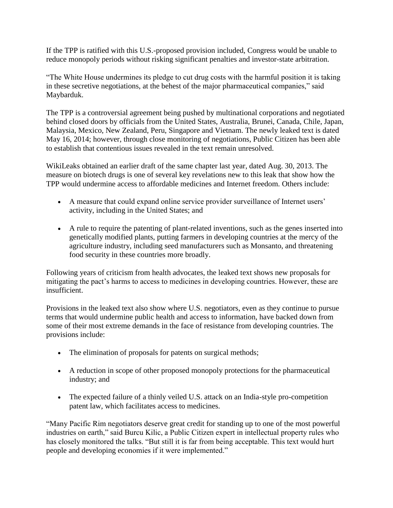If the TPP is ratified with this U.S.-proposed provision included, Congress would be unable to reduce monopoly periods without risking significant penalties and investor-state arbitration.

"The White House undermines its pledge to cut drug costs with the harmful position it is taking in these secretive negotiations, at the behest of the major pharmaceutical companies," said Maybarduk.

The TPP is a controversial agreement being pushed by multinational corporations and negotiated behind closed doors by officials from the United States, Australia, Brunei, Canada, Chile, Japan, Malaysia, Mexico, New Zealand, Peru, Singapore and Vietnam. The newly leaked text is dated May 16, 2014; however, through close monitoring of negotiations, Public Citizen has been able to establish that contentious issues revealed in the text remain unresolved.

WikiLeaks obtained an earlier draft of the same chapter last year, dated Aug. 30, 2013. The measure on biotech drugs is one of several key revelations new to this leak that show how the TPP would undermine access to affordable medicines and Internet freedom. Others include:

- A measure that could expand online service provider surveillance of Internet users' activity, including in the United States; and
- A rule to require the patenting of plant-related inventions, such as the genes inserted into genetically modified plants, putting farmers in developing countries at the mercy of the agriculture industry, including seed manufacturers such as Monsanto, and threatening food security in these countries more broadly.

Following years of criticism from health advocates, the leaked text shows new proposals for mitigating the pact's harms to access to medicines in developing countries. However, these are insufficient.

Provisions in the leaked text also show where U.S. negotiators, even as they continue to pursue terms that would undermine public health and access to information, have backed down from some of their most extreme demands in the face of resistance from developing countries. The provisions include:

- The elimination of proposals for patents on surgical methods;
- A reduction in scope of other proposed monopoly protections for the pharmaceutical industry; and
- The expected failure of a thinly veiled U.S. attack on an India-style pro-competition patent law, which facilitates access to medicines.

"Many Pacific Rim negotiators deserve great credit for standing up to one of the most powerful industries on earth," said Burcu Kilic, a Public Citizen expert in intellectual property rules who has closely monitored the talks. "But still it is far from being acceptable. This text would hurt people and developing economies if it were implemented."